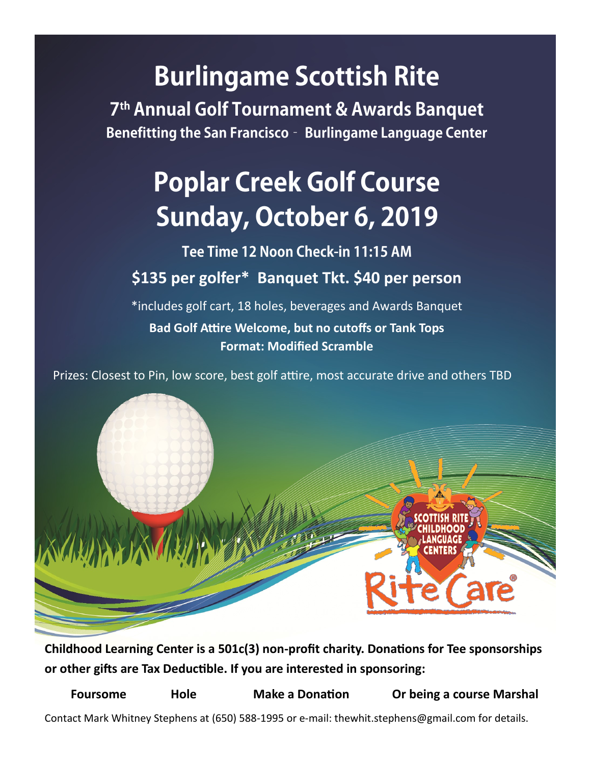## **Burlingame Scottish Rite**

7<sup>th</sup> Annual Golf Tournament & Awards Banquet Benefitting the San Francisco - Burlingame Language Center

# **Poplar Creek Golf Course** Sunday, October 6, 2019

Tee Time 12 Noon Check-in 11:15 AM **\$135 per golfer\* Banquet Tkt. \$40 per person**

\*includes golf cart, 18 holes, beverages and Awards Banquet **Bad Golf Attire Welcome, but no cutoffs or Tank Tops Format: Modified Scramble**

Prizes: Closest to Pin, low score, best golf attire, most accurate drive and others TBD



**Childhood Learning Center is a 501c(3) non-profit charity. Donations for Tee sponsorships or other gifts are Tax Deductible. If you are interested in sponsoring:**

**Foursome Hole Make a Donation Or being a course Marshal**

Contact Mark Whitney Stephens at (650) 588-1995 or e-mail: thewhit.stephens@gmail.com for details.